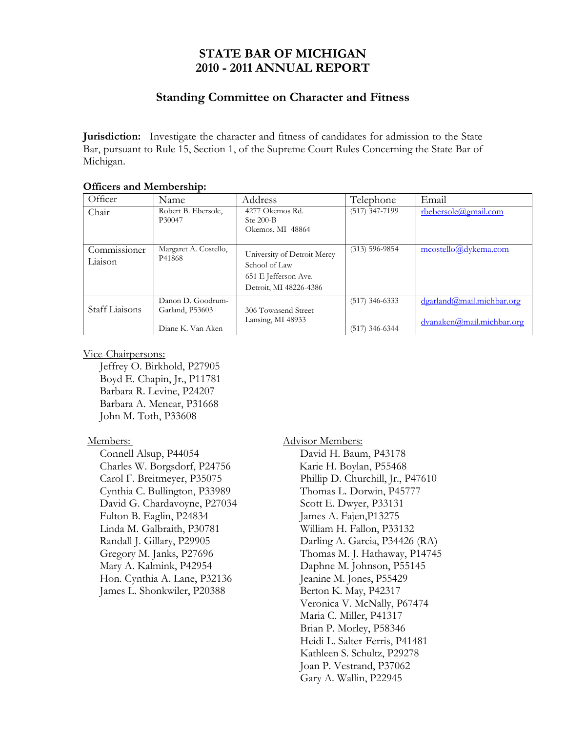# **STATE BAR OF MICHIGAN 2010 - 2011 ANNUAL REPORT**

## **Standing Committee on Character and Fitness**

**Jurisdiction:** Investigate the character and fitness of candidates for admission to the State Bar, pursuant to Rule 15, Section 1, of the Supreme Court Rules Concerning the State Bar of Michigan.

| Officer                 | Name                                                      | Address                                                                                        | Telephone                            | Email                                                  |
|-------------------------|-----------------------------------------------------------|------------------------------------------------------------------------------------------------|--------------------------------------|--------------------------------------------------------|
| Chair                   | Robert B. Ebersole,<br>P30047                             | 4277 Okemos Rd.<br>Ste $200-B$<br>Okemos, MI 48864                                             | $(517)$ 347-7199                     | rbebersole@gmail.com                                   |
| Commissioner<br>Liaison | Margaret A. Costello,<br>P41868                           | University of Detroit Mercy<br>School of Law<br>651 E Jefferson Ave.<br>Detroit, MI 48226-4386 | $(313) 596 - 9854$                   | mcostello@dvkema.com                                   |
| Staff Liaisons          | Danon D. Goodrum-<br>Garland, P53603<br>Diane K. Van Aken | 306 Townsend Street<br>Lansing, MI 48933                                                       | $(517)$ 346-6333<br>$(517)$ 346-6344 | dgarland@mail.michbar.org<br>dvanaken@mail.michbar.org |

#### **Officers and Membership:**

#### Vice-Chairpersons:

Jeffrey O. Birkhold, P27905 Boyd E. Chapin, Jr., P11781 Barbara R. Levine, P24207 Barbara A. Menear, P31668 John M. Toth, P33608

## Members:

 Connell Alsup, P44054 Charles W. Borgsdorf, P24756 Carol F. Breitmeyer, P35075 Cynthia C. Bullington, P33989 David G. Chardavoyne, P27034 Fulton B. Eaglin, P24834 Linda M. Galbraith, P30781 Randall J. Gillary, P29905 Gregory M. Janks, P27696 Mary A. Kalmink, P42954 Hon. Cynthia A. Lane, P32136 James L. Shonkwiler, P20388

## Advisor Members:

David H. Baum, P43178 Karie H. Boylan, P55468 Phillip D. Churchill, Jr., P47610 Thomas L. Dorwin, P45777 Scott E. Dwyer, P33131 James A. Fajen,P13275 William H. Fallon, P33132 Darling A. Garcia, P34426 (RA) Thomas M. J. Hathaway, P14745 Daphne M. Johnson, P55145 Jeanine M. Jones, P55429 Berton K. May, P42317 Veronica V. McNally, P67474 Maria C. Miller, P41317 Brian P. Morley, P58346 Heidi L. Salter-Ferris, P41481 Kathleen S. Schultz, P29278 Joan P. Vestrand, P37062 Gary A. Wallin, P22945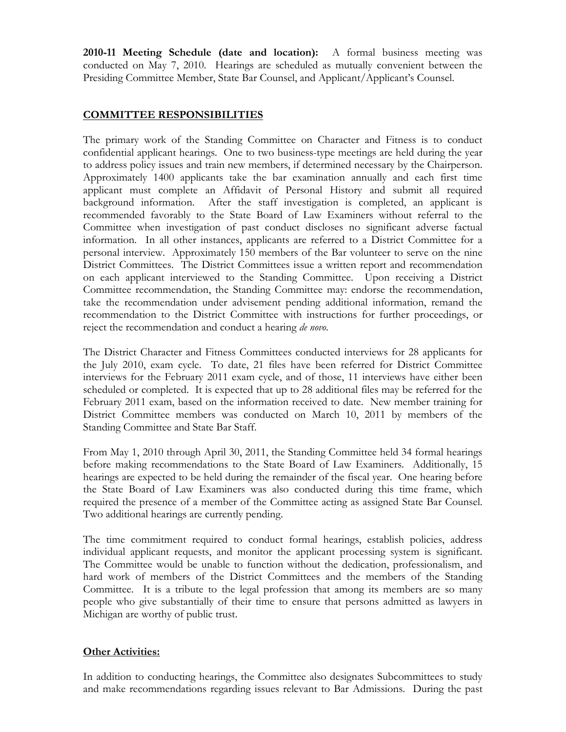**2010-11 Meeting Schedule (date and location):** A formal business meeting was conducted on May 7, 2010. Hearings are scheduled as mutually convenient between the Presiding Committee Member, State Bar Counsel, and Applicant/Applicant's Counsel.

## **COMMITTEE RESPONSIBILITIES**

The primary work of the Standing Committee on Character and Fitness is to conduct confidential applicant hearings. One to two business-type meetings are held during the year to address policy issues and train new members, if determined necessary by the Chairperson. Approximately 1400 applicants take the bar examination annually and each first time applicant must complete an Affidavit of Personal History and submit all required background information. After the staff investigation is completed, an applicant is recommended favorably to the State Board of Law Examiners without referral to the Committee when investigation of past conduct discloses no significant adverse factual information. In all other instances, applicants are referred to a District Committee for a personal interview. Approximately 150 members of the Bar volunteer to serve on the nine District Committees. The District Committees issue a written report and recommendation on each applicant interviewed to the Standing Committee. Upon receiving a District Committee recommendation, the Standing Committee may: endorse the recommendation, take the recommendation under advisement pending additional information, remand the recommendation to the District Committee with instructions for further proceedings, or reject the recommendation and conduct a hearing *de novo*.

The District Character and Fitness Committees conducted interviews for 28 applicants for the July 2010, exam cycle. To date, 21 files have been referred for District Committee interviews for the February 2011 exam cycle, and of those, 11 interviews have either been scheduled or completed. It is expected that up to 28 additional files may be referred for the February 2011 exam, based on the information received to date. New member training for District Committee members was conducted on March 10, 2011 by members of the Standing Committee and State Bar Staff.

From May 1, 2010 through April 30, 2011, the Standing Committee held 34 formal hearings before making recommendations to the State Board of Law Examiners. Additionally, 15 hearings are expected to be held during the remainder of the fiscal year. One hearing before the State Board of Law Examiners was also conducted during this time frame, which required the presence of a member of the Committee acting as assigned State Bar Counsel. Two additional hearings are currently pending.

The time commitment required to conduct formal hearings, establish policies, address individual applicant requests, and monitor the applicant processing system is significant. The Committee would be unable to function without the dedication, professionalism, and hard work of members of the District Committees and the members of the Standing Committee. It is a tribute to the legal profession that among its members are so many people who give substantially of their time to ensure that persons admitted as lawyers in Michigan are worthy of public trust.

## **Other Activities:**

In addition to conducting hearings, the Committee also designates Subcommittees to study and make recommendations regarding issues relevant to Bar Admissions. During the past